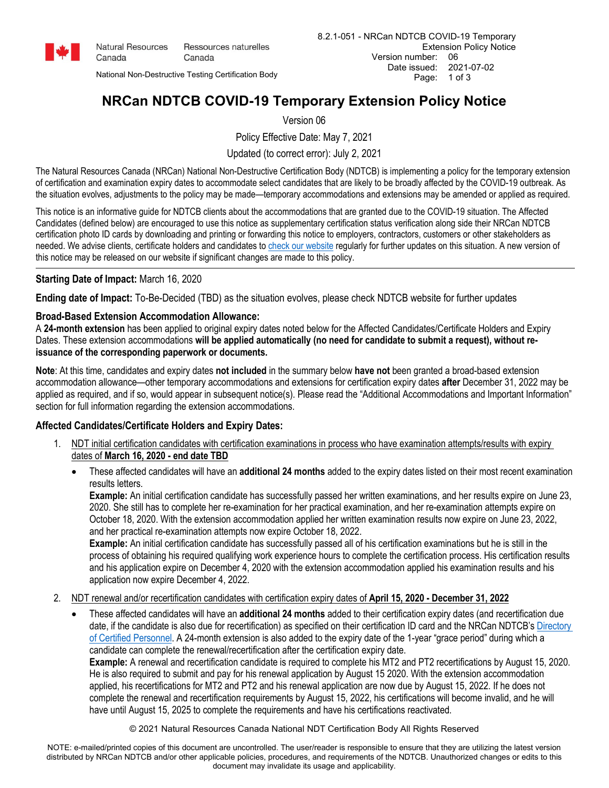

Canada

**Natural Resources** Ressources naturelles Canada

National Non-Destructive Testing Certification Body

# **NRCan NDTCB COVID-19 Temporary Extension Policy Notice**

Version 06

Policy Effective Date: May 7, 2021

Updated (to correct error): July 2, 2021

The Natural Resources Canada (NRCan) National Non-Destructive Certification Body (NDTCB) is implementing a policy for the temporary extension of certification and examination expiry dates to accommodate select candidates that are likely to be broadly affected by the COVID-19 outbreak. As the situation evolves, adjustments to the policy may be made—temporary accommodations and extensions may be amended or applied as required.

This notice is an informative guide for NDTCB clients about the accommodations that are granted due to the COVID-19 situation. The Affected Candidates (defined below) are encouraged to use this notice as supplementary certification status verification along side their NRCan NDTCB certification photo ID cards by downloading and printing or forwarding this notice to employers, contractors, customers or other stakeholders as needed. We advise clients, certificate holders and candidates to [check our website](https://www.nrcan.gc.ca/science-data/national-non-destructive-testing-certification-body/22056) regularly for further updates on this situation. A new version of this notice may be released on our website if significant changes are made to this policy.

## **Starting Date of Impact:** March 16, 2020

**Ending date of Impact:** To-Be-Decided (TBD) as the situation evolves, please check NDTCB website for further updates

## **Broad-Based Extension Accommodation Allowance:**

A **24-month extension** has been applied to original expiry dates noted below for the Affected Candidates/Certificate Holders and Expiry Dates. These extension accommodations **will be applied automatically (no need for candidate to submit a request), without reissuance of the corresponding paperwork or documents.**

**Note**: At this time, candidates and expiry dates **not included** in the summary below **have not** been granted a broad-based extension accommodation allowance—other temporary accommodations and extensions for certification expiry dates **after** December 31, 2022 may be applied as required, and if so, would appear in subsequent notice(s). Please read the "Additional Accommodations and Important Information" section for full information regarding the extension accommodations.

## **Affected Candidates/Certificate Holders and Expiry Dates:**

- 1. NDT initial certification candidates with certification examinations in process who have examination attempts/results with expiry dates of **March 16, 2020 - end date TBD**
	- These affected candidates will have an **additional 24 months** added to the expiry dates listed on their most recent examination results letters.

**Example:** An initial certification candidate has successfully passed her written examinations, and her results expire on June 23, 2020. She still has to complete her re-examination for her practical examination, and her re-examination attempts expire on October 18, 2020. With the extension accommodation applied her written examination results now expire on June 23, 2022, and her practical re-examination attempts now expire October 18, 2022.

**Example:** An initial certification candidate has successfully passed all of his certification examinations but he is still in the process of obtaining his required qualifying work experience hours to complete the certification process. His certification results and his application expire on December 4, 2020 with the extension accommodation applied his examination results and his application now expire December 4, 2022.

## 2. NDT renewal and/or recertification candidates with certification expiry dates of **April 15, 2020 - December 31, 2022**

• These affected candidates will have an **additional 24 months** added to their certification expiry dates (and recertification due date, if the candidate is also due for recertification) as specified on their certification ID card and the NRCan NDTCB's [Directory](https://www.nrcan.gc.ca/mining-materials/non-destructive-testing/8600)  [of Certified Personnel.](https://www.nrcan.gc.ca/mining-materials/non-destructive-testing/8600) A 24-month extension is also added to the expiry date of the 1-year "grace period" during which a candidate can complete the renewal/recertification after the certification expiry date.

**Example:** A renewal and recertification candidate is required to complete his MT2 and PT2 recertifications by August 15, 2020. He is also required to submit and pay for his renewal application by August 15 2020. With the extension accommodation applied, his recertifications for MT2 and PT2 and his renewal application are now due by August 15, 2022. If he does not complete the renewal and recertification requirements by August 15, 2022, his certifications will become invalid, and he will have until August 15, 2025 to complete the requirements and have his certifications reactivated.

© 2021 Natural Resources Canada National NDT Certification Body All Rights Reserved

NOTE: e-mailed/printed copies of this document are uncontrolled. The user/reader is responsible to ensure that they are utilizing the latest version distributed by NRCan NDTCB and/or other applicable policies, procedures, and requirements of the NDTCB. Unauthorized changes or edits to this document may invalidate its usage and applicability.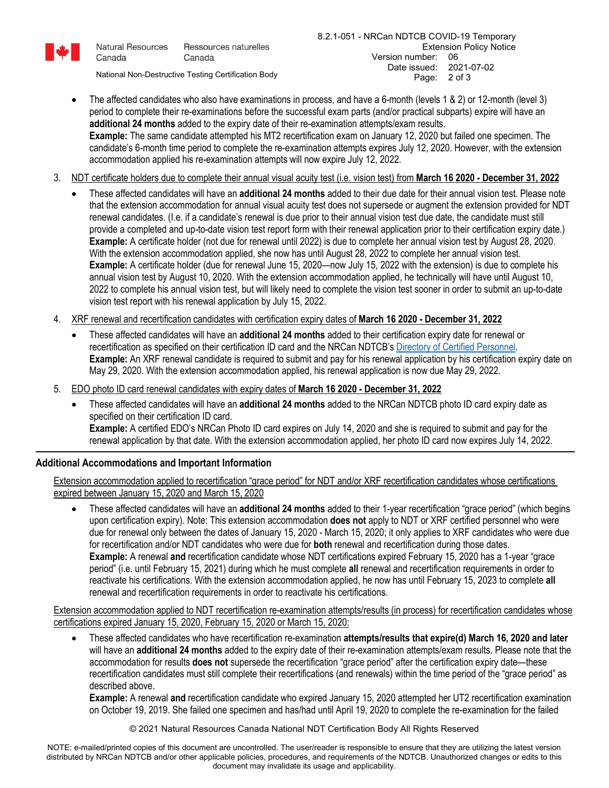

Canada

**Natural Resources** Ressources naturelles Canada

National Non-Destructive Testing Certification Body

- The affected candidates who also have examinations in process, and have a 6-month (levels 1 & 2) or 12-month (level 3) period to complete their re-examinations before the successful exam parts (and/or practical subparts) expire will have an **additional 24 months** added to the expiry date of their re-examination attempts/exam results. **Example:** The same candidate attempted his MT2 recertification exam on January 12, 2020 but failed one specimen. The candidate's 6-month time period to complete the re-examination attempts expires July 12, 2020. However, with the extension accommodation applied his re-examination attempts will now expire July 12, 2022.
- 3. NDT certificate holders due to complete their annual visual acuity test (i.e. vision test) from **March 16 2020 December 31, 2022**
	- These affected candidates will have an **additional 24 months** added to their due date for their annual vision test. Please note that the extension accommodation for annual visual acuity test does not supersede or augment the extension provided for NDT renewal candidates. (I.e. if a candidate's renewal is due prior to their annual vision test due date, the candidate must still provide a completed and up-to-date vision test report form with their renewal application prior to their certification expiry date.) **Example:** A certificate holder (not due for renewal until 2022) is due to complete her annual vision test by August 28, 2020. With the extension accommodation applied, she now has until August 28, 2022 to complete her annual vision test. **Example:** A certificate holder (due for renewal June 15, 2020—now July 15, 2022 with the extension) is due to complete his annual vision test by August 10, 2020. With the extension accommodation applied, he technically will have until August 10, 2022 to complete his annual vision test, but will likely need to complete the vision test sooner in order to submit an up-to-date vision test report with his renewal application by July 15, 2022.
- 4. XRF renewal and recertification candidates with certification expiry dates of **March 16 2020 December 31, 2022**
	- These affected candidates will have an **additional 24 months** added to their certification expiry date for renewal or recertification as specified on their certification ID card and the NRCan NDTCB'[s Directory of Certified Personnel.](https://www.nrcan.gc.ca/mining-materials/non-destructive-testing/8600)  **Example:** An XRF renewal candidate is required to submit and pay for his renewal application by his certification expiry date on May 29, 2020. With the extension accommodation applied, his renewal application is now due May 29, 2022.
- 5. EDO photo ID card renewal candidates with expiry dates of **March 16 2020 December 31, 2022**
	- These affected candidates will have an **additional 24 months** added to the NRCan NDTCB photo ID card expiry date as specified on their certification ID card. **Example:** A certified EDO's NRCan Photo ID card expires on July 14, 2020 and she is required to submit and pay for the renewal application by that date. With the extension accommodation applied, her photo ID card now expires July 14, 2022.

### **Additional Accommodations and Important Information**

Extension accommodation applied to recertification "grace period" for NDT and/or XRF recertification candidates whose certifications expired between January 15, 2020 and March 15, 2020

• These affected candidates will have an **additional 24 months** added to their 1-year recertification "grace period" (which begins upon certification expiry). Note: This extension accommodation **does not** apply to NDT or XRF certified personnel who were due for renewal only between the dates of January 15, 2020 - March 15, 2020; it only applies to XRF candidates who were due for recertification and/or NDT candidates who were due for **both** renewal and recertification during those dates. **Example:** A renewal **and** recertification candidate whose NDT certifications expired February 15, 2020 has a 1-year "grace period" (i.e. until February 15, 2021) during which he must complete **all** renewal and recertification requirements in order to reactivate his certifications. With the extension accommodation applied, he now has until February 15, 2023 to complete **all** renewal and recertification requirements in order to reactivate his certifications.

Extension accommodation applied to NDT recertification re-examination attempts/results (in process) for recertification candidates whose certifications expired January 15, 2020, February 15, 2020 or March 15, 2020:

• These affected candidates who have recertification re-examination **attempts/results that expire(d) March 16, 2020 and later** will have an **additional 24 months** added to the expiry date of their re-examination attempts/exam results. Please note that the accommodation for results **does not** supersede the recertification "grace period" after the certification expiry date—these recertification candidates must still complete their recertifications (and renewals) within the time period of the "grace period" as described above.

**Example:** A renewal **and** recertification candidate who expired January 15, 2020 attempted her UT2 recertification examination on October 19, 2019. She failed one specimen and has/had until April 19, 2020 to complete the re-examination for the failed

© 2021 Natural Resources Canada National NDT Certification Body All Rights Reserved

NOTE: e-mailed/printed copies of this document are uncontrolled. The user/reader is responsible to ensure that they are utilizing the latest version distributed by NRCan NDTCB and/or other applicable policies, procedures, and requirements of the NDTCB. Unauthorized changes or edits to this document may invalidate its usage and applicability.